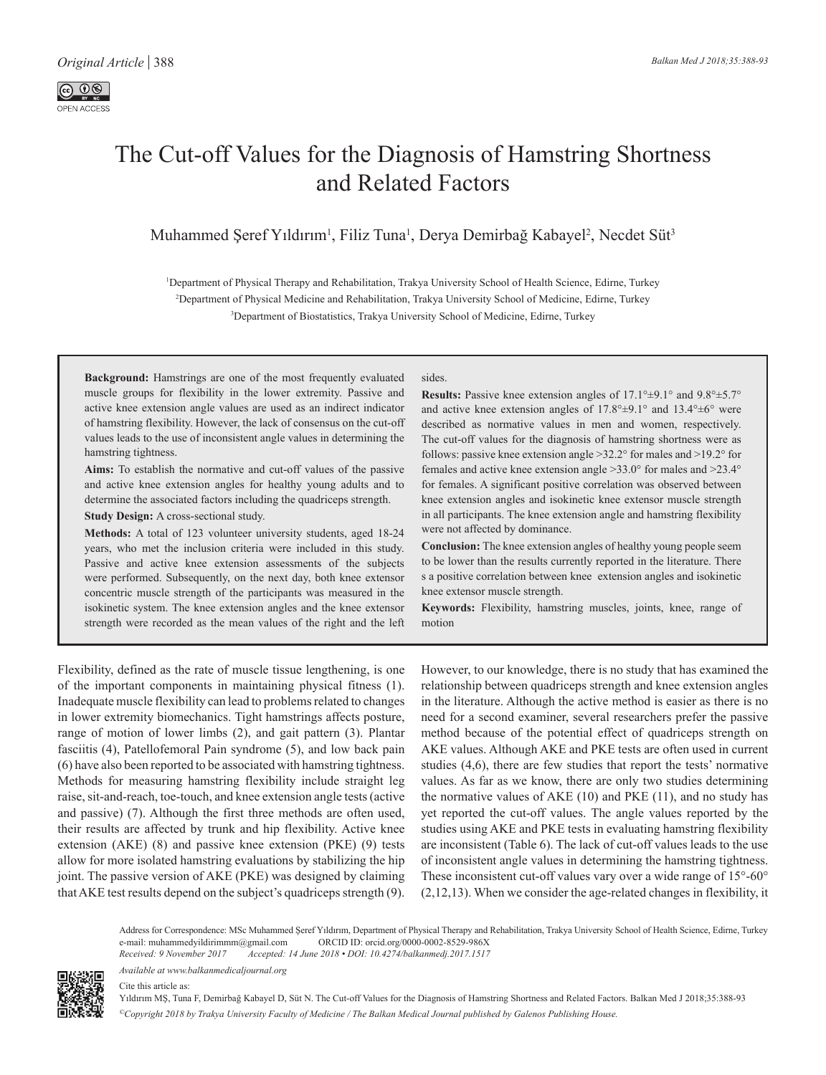# The Cut-off Values for the Diagnosis of Hamstring Shortness and Related Factors

# Muhammed Şeref Yıldırım<sup>ı</sup>, Filiz Tuna<sup>[1](http://orcid.org/0000-0002-8529-986X)</sup>, Derya Demirbağ Kabayel<sup>[2](http://orcid.org/0000-0003-1974-8054)</sup>, Necdet Süt<sup>[3](http://orcid.org/0000-0001-6678-482X)</sup>

1 Department of Physical Therapy and Rehabilitation, Trakya University School of Health Science, Edirne, Turkey 2 Department of Physical Medicine and Rehabilitation, Trakya University School of Medicine, Edirne, Turkey 3 Department of Biostatistics, Trakya University School of Medicine, Edirne, Turkey

**Background:** Hamstrings are one of the most frequently evaluated muscle groups for flexibility in the lower extremity. Passive and active knee extension angle values are used as an indirect indicator of hamstring flexibility. However, the lack of consensus on the cut-off values leads to the use of inconsistent angle values in determining the hamstring tightness.

**Aims:** To establish the normative and cut-off values of the passive and active knee extension angles for healthy young adults and to determine the associated factors including the quadriceps strength.

**Study Design:** A cross-sectional study.

**Methods:** A total of 123 volunteer university students, aged 18-24 years, who met the inclusion criteria were included in this study. Passive and active knee extension assessments of the subjects were performed. Subsequently, on the next day, both knee extensor concentric muscle strength of the participants was measured in the isokinetic system. The knee extension angles and the knee extensor strength were recorded as the mean values of the right and the left

#### sides.

**Results:** Passive knee extension angles of 17.1°±9.1° and 9.8°±5.7° and active knee extension angles of  $17.8^{\circ} \pm 9.1^{\circ}$  and  $13.4^{\circ} \pm 6^{\circ}$  were described as normative values in men and women, respectively. The cut-off values for the diagnosis of hamstring shortness were as follows: passive knee extension angle >32.2° for males and >19.2° for females and active knee extension angle >33.0° for males and >23.4° for females. A significant positive correlation was observed between knee extension angles and isokinetic knee extensor muscle strength in all participants. The knee extension angle and hamstring flexibility were not affected by dominance.

**Conclusion:** The knee extension angles of healthy young people seem to be lower than the results currently reported in the literature. There s a positive correlation between knee extension angles and isokinetic knee extensor muscle strength.

**Keywords:** Flexibility, hamstring muscles, joints, knee, range of motion

Flexibility, defined as the rate of muscle tissue lengthening, is one of the important components in maintaining physical fitness (1). Inadequate muscle flexibility can lead to problems related to changes in lower extremity biomechanics. Tight hamstrings affects posture, range of motion of lower limbs (2), and gait pattern (3). Plantar fasciitis (4), Patellofemoral Pain syndrome (5), and low back pain (6) have also been reported to be associated with hamstring tightness. Methods for measuring hamstring flexibility include straight leg raise, sit-and-reach, toe-touch, and knee extension angle tests (active and passive) (7). Although the first three methods are often used, their results are affected by trunk and hip flexibility. Active knee extension (AKE) (8) and passive knee extension (PKE) (9) tests allow for more isolated hamstring evaluations by stabilizing the hip joint. The passive version of AKE (PKE) was designed by claiming that AKE test results depend on the subject's quadriceps strength (9). However, to our knowledge, there is no study that has examined the relationship between quadriceps strength and knee extension angles in the literature. Although the active method is easier as there is no need for a second examiner, several researchers prefer the passive method because of the potential effect of quadriceps strength on AKE values. Although AKE and PKE tests are often used in current studies (4,6), there are few studies that report the tests' normative values. As far as we know, there are only two studies determining the normative values of AKE (10) and PKE (11), and no study has yet reported the cut-off values. The angle values reported by the studies using AKE and PKE tests in evaluating hamstring flexibility are inconsistent (Table 6). The lack of cut-off values leads to the use of inconsistent angle values in determining the hamstring tightness. These inconsistent cut-off values vary over a wide range of 15°-60° (2,12,13). When we consider the age-related changes in flexibility, it

Address for Correspondence: MSc Muhammed Şeref Yıldırım, Department of Physical Therapy and Rehabilitation, Trakya University School of Health Science, Edirne, Turkey e-mail: muhammedyildirimmm@gmail.com ORCID ID: orcid.org/0000-0002-8529-986X *Received: 9 November 2017 Accepted: 14 June 2018 • DOI: 10.4274/balkanmedj.2017.1517*



*Available at www.balkanmedicaljournal.org*

Cite this article as:

Yıldırım MŞ, Tuna F, Demirbağ Kabayel D, Süt N. The Cut-off Values for the Diagnosis of Hamstring Shortness and Related Factors. Balkan Med J 2018;35:388-93 *©Copyright 2018 by Trakya University Faculty of Medicine / The Balkan Medical Journal published by Galenos Publishing House.*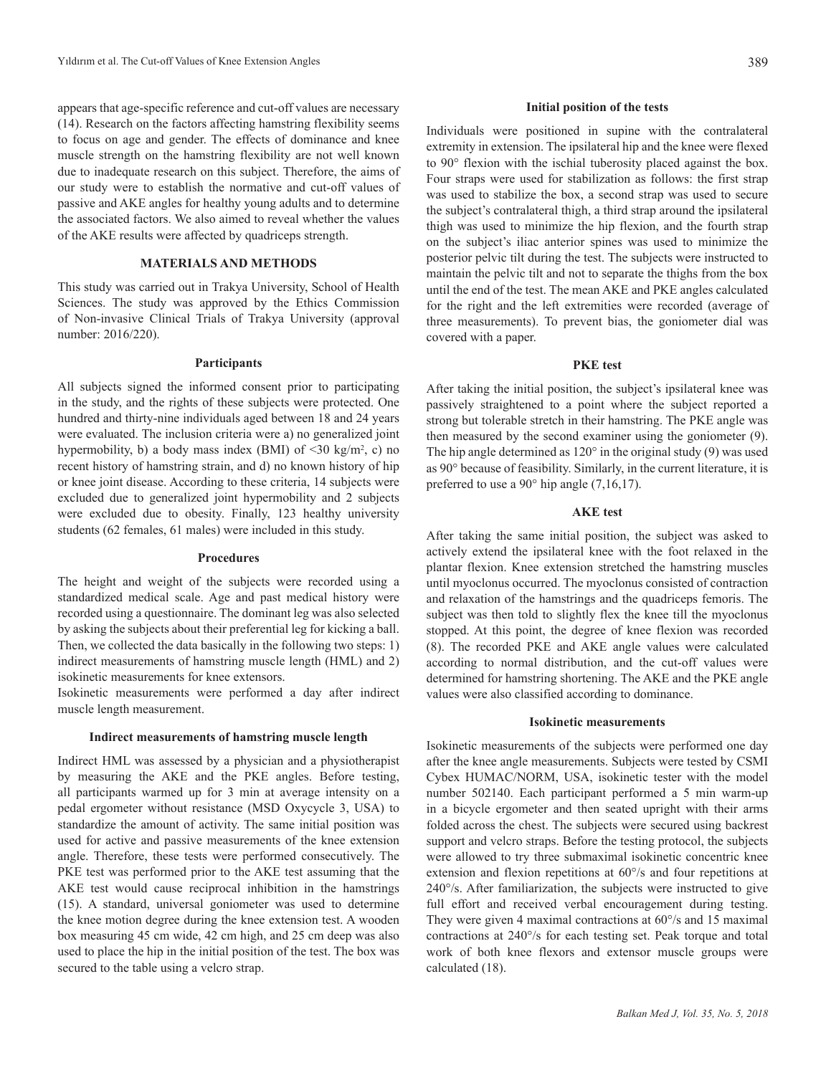appears that age-specific reference and cut-off values are necessary (14). Research on the factors affecting hamstring flexibility seems to focus on age and gender. The effects of dominance and knee muscle strength on the hamstring flexibility are not well known due to inadequate research on this subject. Therefore, the aims of our study were to establish the normative and cut-off values of passive and AKE angles for healthy young adults and to determine the associated factors. We also aimed to reveal whether the values of the AKE results were affected by quadriceps strength.

#### **MATERIALS AND METHODS**

This study was carried out in Trakya University, School of Health Sciences. The study was approved by the Ethics Commission of Non-invasive Clinical Trials of Trakya University (approval number: 2016/220).

#### **Participants**

All subjects signed the informed consent prior to participating in the study, and the rights of these subjects were protected. One hundred and thirty-nine individuals aged between 18 and 24 years were evaluated. The inclusion criteria were a) no generalized joint hypermobility, b) a body mass index (BMI) of  $\leq 30$  kg/m<sup>2</sup>, c) no recent history of hamstring strain, and d) no known history of hip or knee joint disease. According to these criteria, 14 subjects were excluded due to generalized joint hypermobility and 2 subjects were excluded due to obesity. Finally, 123 healthy university students (62 females, 61 males) were included in this study.

#### **Procedures**

The height and weight of the subjects were recorded using a standardized medical scale. Age and past medical history were recorded using a questionnaire. The dominant leg was also selected by asking the subjects about their preferential leg for kicking a ball. Then, we collected the data basically in the following two steps: 1) indirect measurements of hamstring muscle length (HML) and 2) isokinetic measurements for knee extensors.

Isokinetic measurements were performed a day after indirect muscle length measurement.

#### **Indirect measurements of hamstring muscle length**

Indirect HML was assessed by a physician and a physiotherapist by measuring the AKE and the PKE angles. Before testing, all participants warmed up for 3 min at average intensity on a pedal ergometer without resistance (MSD Oxycycle 3, USA) to standardize the amount of activity. The same initial position was used for active and passive measurements of the knee extension angle. Therefore, these tests were performed consecutively. The PKE test was performed prior to the AKE test assuming that the AKE test would cause reciprocal inhibition in the hamstrings (15). A standard, universal goniometer was used to determine the knee motion degree during the knee extension test. A wooden box measuring 45 cm wide, 42 cm high, and 25 cm deep was also used to place the hip in the initial position of the test. The box was secured to the table using a velcro strap.

#### **Initial position of the tests**

Individuals were positioned in supine with the contralateral extremity in extension. The ipsilateral hip and the knee were flexed to 90° flexion with the ischial tuberosity placed against the box. Four straps were used for stabilization as follows: the first strap was used to stabilize the box, a second strap was used to secure the subject's contralateral thigh, a third strap around the ipsilateral thigh was used to minimize the hip flexion, and the fourth strap on the subject's iliac anterior spines was used to minimize the posterior pelvic tilt during the test. The subjects were instructed to maintain the pelvic tilt and not to separate the thighs from the box until the end of the test. The mean AKE and PKE angles calculated for the right and the left extremities were recorded (average of three measurements). To prevent bias, the goniometer dial was covered with a paper.

## **PKE test**

After taking the initial position, the subject's ipsilateral knee was passively straightened to a point where the subject reported a strong but tolerable stretch in their hamstring. The PKE angle was then measured by the second examiner using the goniometer (9). The hip angle determined as  $120^{\circ}$  in the original study (9) was used as 90° because of feasibility. Similarly, in the current literature, it is preferred to use a 90° hip angle (7,16,17).

## **AKE test**

After taking the same initial position, the subject was asked to actively extend the ipsilateral knee with the foot relaxed in the plantar flexion. Knee extension stretched the hamstring muscles until myoclonus occurred. The myoclonus consisted of contraction and relaxation of the hamstrings and the quadriceps femoris. The subject was then told to slightly flex the knee till the myoclonus stopped. At this point, the degree of knee flexion was recorded (8). The recorded PKE and AKE angle values were calculated according to normal distribution, and the cut-off values were determined for hamstring shortening. The AKE and the PKE angle values were also classified according to dominance.

### **Isokinetic measurements**

Isokinetic measurements of the subjects were performed one day after the knee angle measurements. Subjects were tested by CSMI Cybex HUMAC/NORM, USA, isokinetic tester with the model number 502140. Each participant performed a 5 min warm-up in a bicycle ergometer and then seated upright with their arms folded across the chest. The subjects were secured using backrest support and velcro straps. Before the testing protocol, the subjects were allowed to try three submaximal isokinetic concentric knee extension and flexion repetitions at 60°/s and four repetitions at 240°/s. After familiarization, the subjects were instructed to give full effort and received verbal encouragement during testing. They were given 4 maximal contractions at 60°/s and 15 maximal contractions at 240°/s for each testing set. Peak torque and total work of both knee flexors and extensor muscle groups were calculated (18).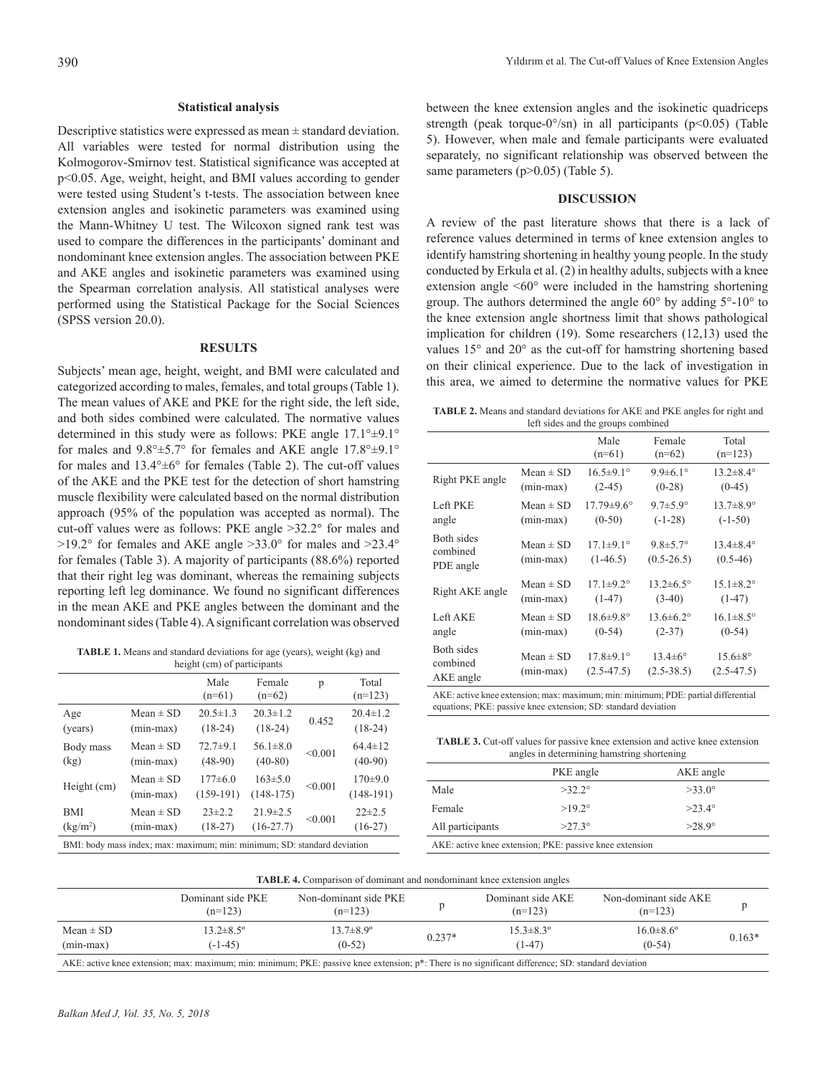## **Statistical analysis**

Descriptive statistics were expressed as mean ± standard deviation. All variables were tested for normal distribution using the Kolmogorov-Smirnov test. Statistical significance was accepted at p<0.05. Age, weight, height, and BMI values according to gender were tested using Student's t-tests. The association between knee extension angles and isokinetic parameters was examined using the Mann-Whitney U test. The Wilcoxon signed rank test was used to compare the differences in the participants' dominant and nondominant knee extension angles. The association between PKE and AKE angles and isokinetic parameters was examined using the Spearman correlation analysis. All statistical analyses were performed using the Statistical Package for the Social Sciences (SPSS version 20.0).

#### **RESULTS**

Subjects' mean age, height, weight, and BMI were calculated and categorized according to males, females, and total groups (Table 1). The mean values of AKE and PKE for the right side, the left side, and both sides combined were calculated. The normative values determined in this study were as follows: PKE angle 17.1°±9.1° for males and  $9.8^{\circ} \pm 5.7^{\circ}$  for females and AKE angle  $17.8^{\circ} \pm 9.1^{\circ}$ for males and  $13.4^{\circ} \pm 6^{\circ}$  for females (Table 2). The cut-off values of the AKE and the PKE test for the detection of short hamstring muscle flexibility were calculated based on the normal distribution approach (95% of the population was accepted as normal). The cut-off values were as follows: PKE angle >32.2° for males and  $>19.2^{\circ}$  for females and AKE angle  $>33.0^{\circ}$  for males and  $>23.4^{\circ}$ for females (Table 3). A majority of participants (88.6%) reported that their right leg was dominant, whereas the remaining subjects reporting left leg dominance. We found no significant differences in the mean AKE and PKE angles between the dominant and the nondominant sides (Table 4). A significant correlation was observed

**TABLE 1.** Means and standard deviations for age (years), weight (kg) and height (cm) of participants

|                                                                          |                              | Male<br>$(n=61)$            | Female<br>$(n=62)$          | p       | Total<br>$(n=123)$          |  |  |  |
|--------------------------------------------------------------------------|------------------------------|-----------------------------|-----------------------------|---------|-----------------------------|--|--|--|
| Age<br>(years)                                                           | $Mean \pm SD$<br>$(min-max)$ | $20.5 \pm 1.3$<br>$(18-24)$ | $20.3 \pm 1.2$<br>$(18-24)$ | 0.452   | $20.4 \pm 1.2$<br>$(18-24)$ |  |  |  |
| Body mass<br>(kg)                                                        | $Mean \pm SD$<br>$(min-max)$ | $72.7+9.1$<br>$(48-90)$     | $56.1 \pm 8.0$<br>$(40-80)$ | < 0.001 | $64.4 \pm 12$<br>$(40-90)$  |  |  |  |
| Height (cm)                                                              | $Mean \pm SD$<br>$(min-max)$ | $177\pm 6.0$<br>$(159-191)$ | $163\pm5.0$<br>$(148-175)$  | < 0.001 | $170+9.0$<br>$(148-191)$    |  |  |  |
| <b>BMI</b>                                                               | $Mean \pm SD$                | $23\pm2.2$                  | $21.9 \pm 2.5$              | < 0.001 | $22\pm 2.5$                 |  |  |  |
| (kg/m <sup>2</sup> )                                                     | $(min-max)$                  | $(18-27)$                   | $(16-27.7)$                 |         | $(16-27)$                   |  |  |  |
| BMI: body mass index; max: maximum; min: minimum; SD: standard deviation |                              |                             |                             |         |                             |  |  |  |

between the knee extension angles and the isokinetic quadriceps strength (peak torque- $0^{\circ}/\text{sn}$ ) in all participants (p<0.05) (Table 5). However, when male and female participants were evaluated separately, no significant relationship was observed between the same parameters (p>0.05) (Table 5).

# **DISCUSSION**

A review of the past literature shows that there is a lack of reference values determined in terms of knee extension angles to identify hamstring shortening in healthy young people. In the study conducted by Erkula et al. (2) in healthy adults, subjects with a knee extension angle  $\leq 60^\circ$  were included in the hamstring shortening group. The authors determined the angle  $60^{\circ}$  by adding  $5^{\circ}$ -10° to the knee extension angle shortness limit that shows pathological implication for children (19). Some researchers (12,13) used the values 15° and 20° as the cut-off for hamstring shortening based on their clinical experience. Due to the lack of investigation in this area, we aimed to determine the normative values for PKE

| <b>TABLE 2.</b> Means and standard deviations for AKE and PKE angles for right and |                                    |  |  |  |
|------------------------------------------------------------------------------------|------------------------------------|--|--|--|
|                                                                                    | left sides and the groups combined |  |  |  |

|                                     |                              | Male<br>$(n=61)$                         | Female<br>$(n=62)$                     | Total<br>$(n=123)$                     |
|-------------------------------------|------------------------------|------------------------------------------|----------------------------------------|----------------------------------------|
| Right PKE angle                     | $Mean \pm SD$                | $16.5 \pm 9.1^{\circ}$                   | $9.9 \pm 6.1$ °                        | $13.2 \pm 8.4^{\circ}$                 |
|                                     | $(min-max)$                  | $(2-45)$                                 | $(0-28)$                               | $(0-45)$                               |
| Left PKE                            | $Mean \pm SD$                | $17.79 \pm 9.6^{\circ}$                  | $9.7 \pm 5.9^{\circ}$                  | $13.7 \pm 8.9^{\circ}$                 |
| angle                               | $(min-max)$                  | $(0-50)$                                 | $(-1-28)$                              | $(-1-50)$                              |
| Both sides<br>combined<br>PDE angle | $Mean \pm SD$<br>$(min-max)$ | $17.1 \pm 9.1^{\circ}$<br>$(1-46.5)$     | $9.8 \pm 5.7$ °<br>$(0.5-26.5)$        | $13.4 \pm 8.4^{\circ}$<br>$(0.5-46)$   |
| Right AKE angle                     | $Mean \pm SD$                | $17.1 \pm 9.2$ °                         | $13.2 \pm 6.5^{\circ}$                 | $15.1 \pm 8.2$ °                       |
|                                     | $(min-max)$                  | $(1-47)$                                 | $(3-40)$                               | $(1-47)$                               |
| Left AKE                            | $Mean \pm SD$                | $18.6 \pm 9.8^{\circ}$                   | $13.6 \pm 6.2$ °                       | $16.1 \pm 8.5^{\circ}$                 |
| angle                               | $(min-max)$                  | $(0-54)$                                 | $(2-37)$                               | $(0-54)$                               |
| Both sides<br>combined<br>AKE angle | $Mean \pm SD$<br>$(min-max)$ | $17.8 \pm 9.1^{\circ}$<br>$(2.5 - 47.5)$ | $13.4 \pm 6^{\circ}$<br>$(2.5 - 38.5)$ | $15.6 \pm 8^{\circ}$<br>$(2.5 - 47.5)$ |

AKE: active knee extension; max: maximum; min: minimum; PDE: partial differential equations; PKE: passive knee extension; SD: standard deviation

**TABLE 3.** Cut-off values for passive knee extension and active knee extension angles in determining hamstring shortening

|                  | PKE angle       | AKE angle       |  |
|------------------|-----------------|-----------------|--|
| Male             | $>32.2^{\circ}$ | $>33.0^{\circ}$ |  |
| Female           | $>19.2^{\circ}$ | $>23.4^{\circ}$ |  |
| All participants | $>27.3^{\circ}$ | $>28.9^\circ$   |  |
|                  |                 |                 |  |

AKE: active knee extension; PKE: passive knee extension

| <b>TABLE 4.</b> Comparison of dominant and nondominant knee extension angles |                       |                   |           |  |  |  |
|------------------------------------------------------------------------------|-----------------------|-------------------|-----------|--|--|--|
| ominant side PKE                                                             | Non-dominant side PKE | Dominant side AKE | Non-domin |  |  |  |

|                                                                                                                                                     | Dominant side PKE<br>$(n=123)$ | Non-dominant side PKE<br>$(n=123)$ |          | Dominant side AKE<br>$(n=123)$          | Non-dominant side AKE<br>$(n=123)$      |          |  |  |
|-----------------------------------------------------------------------------------------------------------------------------------------------------|--------------------------------|------------------------------------|----------|-----------------------------------------|-----------------------------------------|----------|--|--|
| $Mean \pm SD$<br>$(min-max)$                                                                                                                        | $13.2 \pm 8.5$ °<br>$(-1-45)$  | $13.7\pm8.9^\circ$<br>$(0-52)$     | $0.237*$ | $15.3 \pm 8.3$ <sup>o</sup><br>$(1-47)$ | $16.0 \pm 8.6$ <sup>o</sup><br>$(0-54)$ | $0.163*$ |  |  |
| AKE: active knee extension; max: maximum; min: minimum; PKE: passive knee extension; p*: There is no significant difference; SD: standard deviation |                                |                                    |          |                                         |                                         |          |  |  |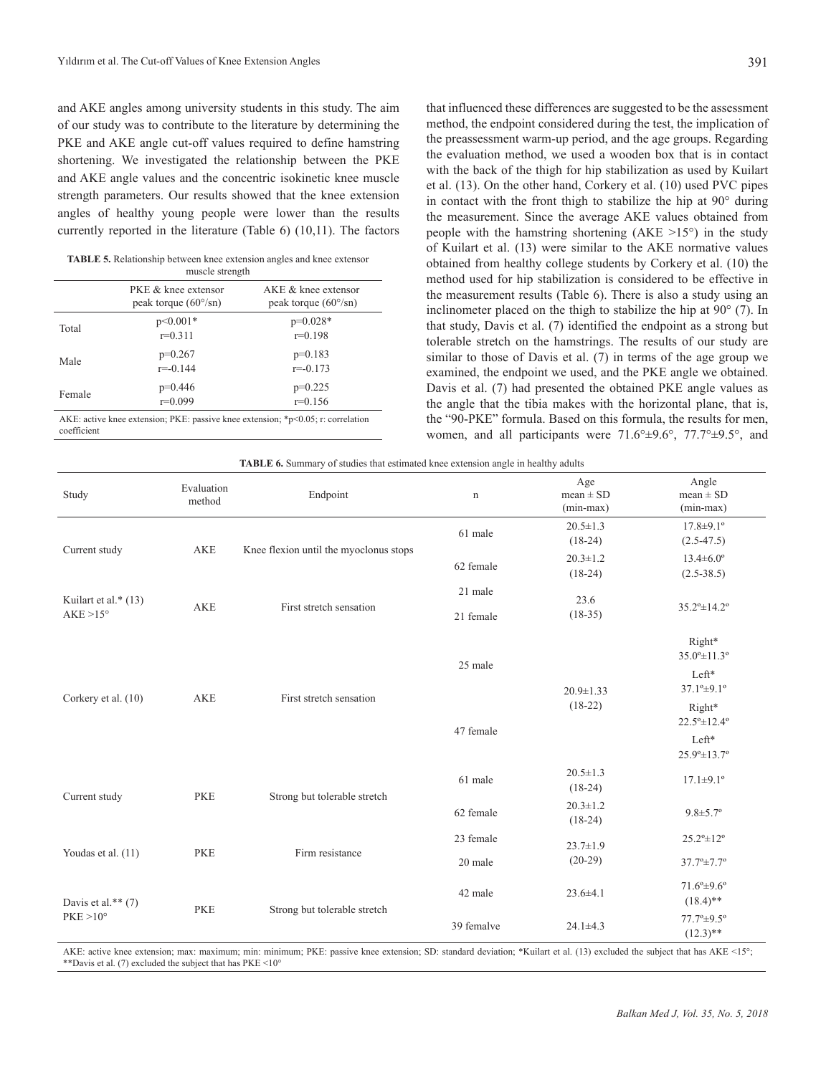and AKE angles among university students in this study. The aim of our study was to contribute to the literature by determining the

PKE and AKE angle cut-off values required to define hamstring shortening. We investigated the relationship between the PKE and AKE angle values and the concentric isokinetic knee muscle strength parameters. Our results showed that the knee extension angles of healthy young people were lower than the results currently reported in the literature (Table 6) (10,11). The factors

|                 | <b>TABLE 5.</b> Relationship between knee extension angles and knee extensor |  |  |  |  |  |  |
|-----------------|------------------------------------------------------------------------------|--|--|--|--|--|--|
| musala atranath |                                                                              |  |  |  |  |  |  |

| muscle strength |                                                             |                                                               |  |  |  |  |  |
|-----------------|-------------------------------------------------------------|---------------------------------------------------------------|--|--|--|--|--|
|                 | PKE & knee extensor<br>peak torque $(60^{\circ}/\text{sn})$ | $AKE &$ knee extensor<br>peak torque $(60^{\circ}/\text{sn})$ |  |  |  |  |  |
| Total           | $p<0.001*$<br>$r = 0.311$                                   | $p=0.028*$<br>$r=0.198$                                       |  |  |  |  |  |
| Male            | $p=0.267$<br>$r = -0.144$                                   | $p=0.183$<br>$r = -0.173$                                     |  |  |  |  |  |
| Female          | $p=0.446$<br>$r=0.099$                                      | $p=0.225$<br>$r=0.156$                                        |  |  |  |  |  |
|                 |                                                             |                                                               |  |  |  |  |  |

AKE: active knee extension; PKE: passive knee extension; \*p<0.05; r: correlation coefficient

that influenced these differences are suggested to be the assessment method, the endpoint considered during the test, the implication of the preassessment warm-up period, and the age groups. Regarding the evaluation method, we used a wooden box that is in contact with the back of the thigh for hip stabilization as used by Kuilart et al. (13). On the other hand, Corkery et al. (10) used PVC pipes in contact with the front thigh to stabilize the hip at 90° during the measurement. Since the average AKE values obtained from people with the hamstring shortening  $(AKE > 15^{\circ})$  in the study of Kuilart et al. (13) were similar to the AKE normative values obtained from healthy college students by Corkery et al. (10) the method used for hip stabilization is considered to be effective in the measurement results (Table 6). There is also a study using an inclinometer placed on the thigh to stabilize the hip at 90° (7). In that study, Davis et al. (7) identified the endpoint as a strong but tolerable stretch on the hamstrings. The results of our study are similar to those of Davis et al. (7) in terms of the age group we examined, the endpoint we used, and the PKE angle we obtained. Davis et al. (7) had presented the obtained PKE angle values as

the angle that the tibia makes with the horizontal plane, that is, the "90-PKE" formula. Based on this formula, the results for men, women, and all participants were 71.6° ±9.6°, 77.7° ±9.5°, and

| <b>TABLE 6.</b> Summary of studies that estimated knee extension angle in healthy adults |  |  |  |  |  |
|------------------------------------------------------------------------------------------|--|--|--|--|--|
|                                                                                          |  |  |  |  |  |

| Study                  | Evaluation<br>method | Endpoint                               | $\mathbf n$ | Age<br>$mean \pm SD$<br>$(min-max)$ | Angle<br>$mean \pm SD$<br>$(min-max)$         |
|------------------------|----------------------|----------------------------------------|-------------|-------------------------------------|-----------------------------------------------|
| Current study          | AKE                  | Knee flexion until the myoclonus stops | 61 male     | $20.5 \pm 1.3$<br>$(18-24)$         | $17.8 \pm 9.1$ °<br>$(2.5-47.5)$              |
|                        |                      |                                        | 62 female   | $20.3 \pm 1.2$<br>$(18-24)$         | $13.4 \pm 6.0$ °<br>$(2.5 - 38.5)$            |
| Kuilart et al.* $(13)$ | <b>AKE</b>           | First stretch sensation                | 21 male     | 23.6                                |                                               |
| $AKE > 15^{\circ}$     |                      |                                        | 21 female   | $(18-35)$                           | $35.2^{\circ} \pm 14.2^{\circ}$               |
| Corkery et al. (10)    |                      |                                        | 25 male     |                                     | Right*<br>$35.0^{\circ}$ ±11.3°               |
|                        |                      | First stretch sensation                |             | $20.9 \pm 1.33$<br>$(18-22)$        | Left*<br>$37.1^{\circ}$ ±9.1°                 |
|                        | AKE                  |                                        |             |                                     | Right*                                        |
|                        |                      |                                        | 47 female   |                                     | $22.5^{\circ}$ ±12.4°                         |
|                        |                      |                                        |             |                                     | Left*<br>$25.9^{\circ}$ ±13.7°                |
|                        | <b>PKE</b>           |                                        | 61 male     | $20.5 \pm 1.3$<br>$(18-24)$         | $17.1 \pm 9.1$ °                              |
| Current study          |                      | Strong but tolerable stretch           | 62 female   | $20.3 \pm 1.2$<br>$(18-24)$         | $9.8 \pm 5.7$ °                               |
|                        |                      |                                        | 23 female   | $23.7 \pm 1.9$                      | $25.2^{\circ}$ ±12°                           |
| Youdas et al. (11)     | <b>PKE</b>           | Firm resistance                        | 20 male     | $(20-29)$                           | $37.7^{\circ}$ ±7.7°                          |
|                        |                      |                                        | 42 male     | $23.6 \pm 4.1$                      | $71.6^{\circ}$ ±9.6°                          |
| Davis et al.** $(7)$   | <b>PKE</b>           | Strong but tolerable stretch           |             |                                     | $(18.4)$ **                                   |
| $PKE > 10^{\circ}$     |                      |                                        | 39 femalve  | $24.1 \pm 4.3$                      | $77.7^{\circ}$ ± $9.5^{\circ}$<br>$(12.3)$ ** |

AKE: active knee extension; max: maximum; min: minimum; PKE: passive knee extension; SD: standard deviation; \*Kuilart et al. (13) excluded the subject that has AKE <15°; \*\*Davis et al. (7) excluded the subject that has PKE <10°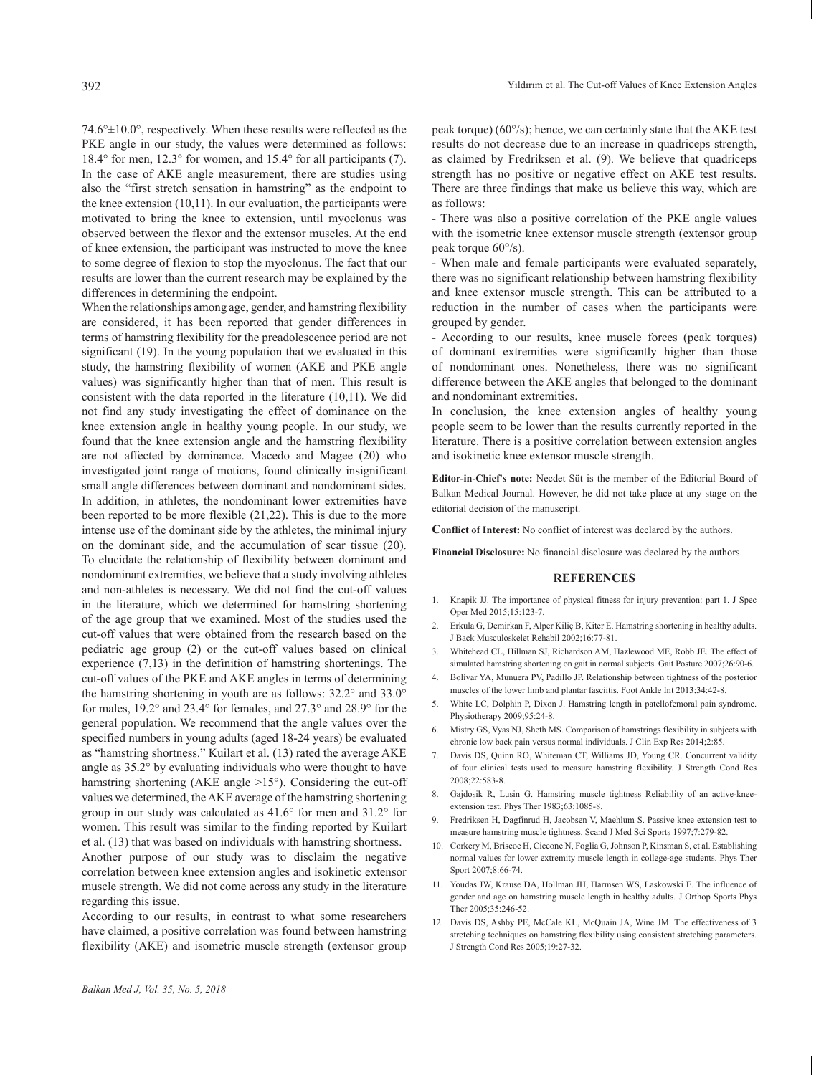$74.6^{\circ} \pm 10.0^{\circ}$ , respectively. When these results were reflected as the PKE angle in our study, the values were determined as follows: 18.4° for men, 12.3° for women, and 15.4° for all participants (7). In the case of AKE angle measurement, there are studies using also the "first stretch sensation in hamstring" as the endpoint to the knee extension (10,11). In our evaluation, the participants were motivated to bring the knee to extension, until myoclonus was observed between the flexor and the extensor muscles. At the end of knee extension, the participant was instructed to move the knee to some degree of flexion to stop the myoclonus. The fact that our results are lower than the current research may be explained by the differences in determining the endpoint.

When the relationships among age, gender, and hamstring flexibility are considered, it has been reported that gender differences in terms of hamstring flexibility for the preadolescence period are not significant (19). In the young population that we evaluated in this study, the hamstring flexibility of women (AKE and PKE angle values) was significantly higher than that of men. This result is consistent with the data reported in the literature (10,11). We did not find any study investigating the effect of dominance on the knee extension angle in healthy young people. In our study, we found that the knee extension angle and the hamstring flexibility are not affected by dominance. Macedo and Magee (20) who investigated joint range of motions, found clinically insignificant small angle differences between dominant and nondominant sides. In addition, in athletes, the nondominant lower extremities have been reported to be more flexible (21,22). This is due to the more intense use of the dominant side by the athletes, the minimal injury on the dominant side, and the accumulation of scar tissue (20). To elucidate the relationship of flexibility between dominant and nondominant extremities, we believe that a study involving athletes and non-athletes is necessary. We did not find the cut-off values in the literature, which we determined for hamstring shortening of the age group that we examined. Most of the studies used the cut-off values that were obtained from the research based on the pediatric age group (2) or the cut-off values based on clinical experience (7,13) in the definition of hamstring shortenings. The cut-off values of the PKE and AKE angles in terms of determining the hamstring shortening in youth are as follows: 32.2° and 33.0° for males, 19.2° and 23.4° for females, and 27.3° and 28.9° for the general population. We recommend that the angle values over the specified numbers in young adults (aged 18-24 years) be evaluated as "hamstring shortness." Kuilart et al. (13) rated the average AKE angle as 35.2° by evaluating individuals who were thought to have hamstring shortening (AKE angle >15°). Considering the cut-off values we determined, the AKE average of the hamstring shortening group in our study was calculated as 41.6° for men and 31.2° for women. This result was similar to the finding reported by Kuilart et al. (13) that was based on individuals with hamstring shortness.

Another purpose of our study was to disclaim the negative correlation between knee extension angles and isokinetic extensor muscle strength. We did not come across any study in the literature regarding this issue.

According to our results, in contrast to what some researchers have claimed, a positive correlation was found between hamstring flexibility (AKE) and isometric muscle strength (extensor group - There was also a positive correlation of the PKE angle values with the isometric knee extensor muscle strength (extensor group peak torque 60°/s).

- When male and female participants were evaluated separately, there was no significant relationship between hamstring flexibility and knee extensor muscle strength. This can be attributed to a reduction in the number of cases when the participants were grouped by gender.

- According to our results, knee muscle forces (peak torques) of dominant extremities were significantly higher than those of nondominant ones. Nonetheless, there was no significant difference between the AKE angles that belonged to the dominant and nondominant extremities.

In conclusion, the knee extension angles of healthy young people seem to be lower than the results currently reported in the literature. There is a positive correlation between extension angles and isokinetic knee extensor muscle strength.

**Editor-in-Chief's note:** Necdet Süt is the member of the Editorial Board of Balkan Medical Journal. However, he did not take place at any stage on the editorial decision of the manuscript.

**Conflict of Interest:** No conflict of interest was declared by the authors.

**Financial Disclosure:** No financial disclosure was declared by the authors.

# **REFERENCES**

- 1. Knapik JJ. The importance of physical fitness for injury prevention: part 1. J Spec Oper Med 2015;15:123-7.
- 2. Erkula G, Demirkan F, Alper Kiliç B, Kiter E. Hamstring shortening in healthy adults. J Back Musculoskelet Rehabil 2002;16:77-81.
- 3. Whitehead CL, Hillman SJ, Richardson AM, Hazlewood ME, Robb JE. The effect of simulated hamstring shortening on gait in normal subjects. Gait Posture 2007;26:90-6.
- 4. Bolívar YA, Munuera PV, Padillo JP. Relationship between tightness of the posterior muscles of the lower limb and plantar fasciitis. Foot Ankle Int 2013;34:42-8.
- 5. White LC, Dolphin P, Dixon J. Hamstring length in patellofemoral pain syndrome. Physiotherapy 2009;95:24-8.
- 6. Mistry GS, Vyas NJ, Sheth MS. Comparison of hamstrings flexibility in subjects with chronic low back pain versus normal individuals. J Clin Exp Res 2014;2:85.
- 7. Davis DS, Quinn RO, Whiteman CT, Williams JD, Young CR. Concurrent validity of four clinical tests used to measure hamstring flexibility. J Strength Cond Res 2008;22:583-8.
- 8. Gajdosik R, Lusin G. Hamstring muscle tightness Reliability of an active-kneeextension test. Phys Ther 1983;63:1085-8.
- 9. Fredriksen H, Dagfinrud H, Jacobsen V, Maehlum S. Passive knee extension test to measure hamstring muscle tightness. Scand J Med Sci Sports 1997;7:279-82.
- 10. Corkery M, Briscoe H, Ciccone N, Foglia G, Johnson P, Kinsman S, et al. Establishing normal values for lower extremity muscle length in college-age students. Phys Ther Sport 2007;8:66-74.
- 11. Youdas JW, Krause DA, Hollman JH, Harmsen WS, Laskowski E. The influence of gender and age on hamstring muscle length in healthy adults. J Orthop Sports Phys Ther 2005;35:246-52.
- 12. Davis DS, Ashby PE, McCale KL, McQuain JA, Wine JM. The effectiveness of 3 stretching techniques on hamstring flexibility using consistent stretching parameters. J Strength Cond Res 2005;19:27-32.